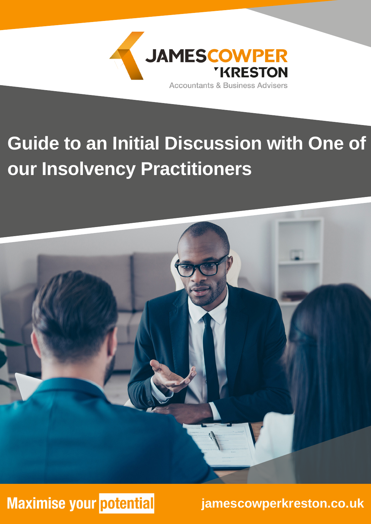

## **Guide to an Initial Discussion with One of our Insolvency Practitioners**



## **Maximise your potential**

**jamescowperkreston.co.uk**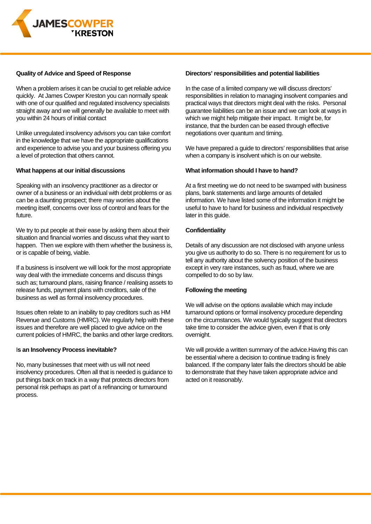

#### **Quality of Advice and Speed of Response**

When a problem arises it can be crucial to get reliable advice quickly. At James Cowper Kreston you can normally speak with one of our qualified and regulated insolvency specialists straight away and we will generally be available to meet with you within 24 hours of initial contact

Unlike unregulated insolvency advisors you can take comfort in the knowledge that we have the appropriate qualifications and experience to advise you and your business offering you a level of protection that others cannot.

#### **What happens at our initial discussions**

Speaking with an insolvency practitioner as a director or owner of a business or an individual with debt problems or as can be a daunting prospect; there may worries about the meeting itself, concerns over loss of control and fears for the future.

We try to put people at their ease by asking them about their situation and financial worries and discuss what they want to happen. Then we explore with them whether the business is, or is capable of being, viable.

If a business is insolvent we will look for the most appropriate way deal with the immediate concerns and discuss things such as; turnaround plans, raising finance / realising assets to release funds, payment plans with creditors, sale of the business as well as formal insolvency procedures.

Issues often relate to an inability to pay creditors such as HM Revenue and Customs (HMRC). We regularly help with these issues and therefore are well placed to give advice on the current policies of HMRC, the banks and other large creditors.

#### I**s an Insolvency Process inevitable?**

No, many businesses that meet with us will not need insolvency procedures. Often all that is needed is guidance to put things back on track in a way that protects directors from personal risk perhaps as part of a refinancing or turnaround process.

#### **Directors' responsibilities and potential liabilities**

In the case of a limited company we will discuss directors' responsibilities in relation to managing insolvent companies and practical ways that directors might deal with the risks. Personal guarantee liabilities can be an issue and we can look at ways in which we might help mitigate their impact. It might be, for instance, that the burden can be eased through effective negotiations over quantum and timing.

We have prepared a guide to directors' responsibilities that arise when a company is insolvent which is on our website.

#### **What information should I have to hand?**

At a first meeting we do not need to be swamped with business plans, bank statements and large amounts of detailed information. We have listed some of the information it might be useful to have to hand for business and individual respectively later in this guide.

#### **Confidentiality**

Details of any discussion are not disclosed with anyone unless you give us authority to do so. There is no requirement for us to tell any authority about the solvency position of the business except in very rare instances, such as fraud, where we are compelled to do so by law.

#### **Following the meeting**

We will advise on the options available which may include turnaround options or formal insolvency procedure depending on the circumstances. We would typically suggest that directors take time to consider the advice given, even if that is only overnight.

We will provide a written summary of the advice.Having this can be essential where a decision to continue trading is finely balanced. If the company later fails the directors should be able to demonstrate that they have taken appropriate advice and acted on it reasonably.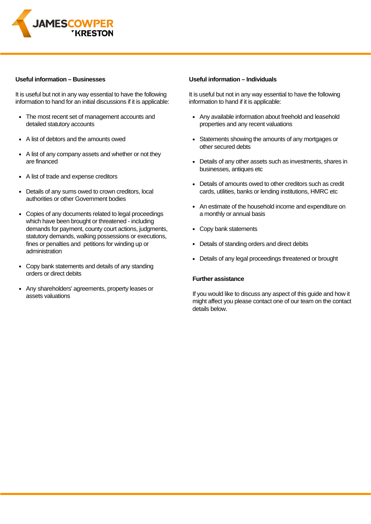

#### **Useful information – Businesses**

It is useful but not in any way essential to have the following information to hand for an initial discussions if it is applicable:

- The most recent set of management accounts and detailed statutory accounts
- A list of debtors and the amounts owed
- A list of any company assets and whether or not they  $\bullet$ are financed
- A list of trade and expense creditors
- Details of any sums owed to crown creditors, local authorities or other Government bodies
- Copies of any documents related to legal proceedings which have been brought or threatened - including demands for payment, county court actions, judgments, statutory demands, walking possessions or executions, fines or penalties and petitions for winding up or administration
- Copy bank statements and details of any standing orders or direct debits
- Any shareholders' agreements, property leases or assets valuations

#### **Useful information – Individuals**

It is useful but not in any way essential to have the following information to hand if it is applicable:

- Any available information about freehold and leasehold properties and any recent valuations
- Statements showing the amounts of any mortgages or other secured debts
- Details of any other assets such as investments, shares in businesses, antiques etc
- Details of amounts owed to other creditors such as credit cards, utilities, banks or lending institutions, HMRC etc
- An estimate of the household income and expenditure on a monthly or annual basis
- Copy bank statements
- Details of standing orders and direct debits
- Details of any legal proceedings threatened or brought

#### **Further assistance**

If you would like to discuss any aspect of this guide and how it might affect you please contact one of our team on the contact details below.